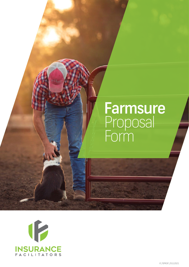# **Farmsure** Proposal Form

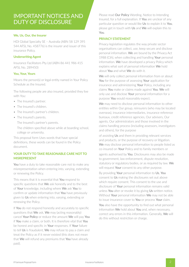## IMPORTANT NOTICES AND DUTY OF DISCLOSURE

#### **We, Us, Our, the Insurer**

HDI Global Specialty SE – Australia (ABN 58 129 395 544 AFSL No. 458776) is the insurer and issuer of this insurance Policy.

#### **Underwriting Agent**

Insurance Facilitators Pty Ltd (ABN 86 441 986 415 AFSL No. 289450)

#### **You, Your, Yours**

Means the person(s) or legal entity named in Your Policy Schedule as the Insured.

The following people are also insured, provided they live with You:

- The Insured's partner.
- The Insured's children.
- The Insured's partner's children.
- The Insured's parents.

The Insured's partner's parents.

The children specified above while at boarding school, college or university.

This proposal form Uses words that have special definitions, these words can be found in the Policy document.

#### **YOUR DUTY TO TAKE REASONABLE CARE NOT TO MISREPRESENT**

You have a duty to take reasonable care not to make any misrepresentation when entering into, varying, extending or renewing the Policy.

This means that it is essential that You respond to specific questions that We ask honestly and to the best of Your knowledge, including where We ask You to confirm or update information that You have previously given to Us when entering into, varying, extending or renewing the Policy.

If You do not respond honestly and accurately to specific questions that We ask, We may (acting reasonably) cancel Your Policy or reduce the amount We will pay You if You make a claim, or both. It is therefore vital that You be honest and specific in Your responses. If Your failure to tell Us is fraudulent, We may refuse to pay a claim and treat the Policy as if it never existed (this does not mean that We will refund any premiums that You have already paid).

Please read Our Policy Wording, Notice to Intending Insured, for a full explanation. If You are unclear of any particular question or would like Us to explain it to You, please get in touch with Us and We will explain this to You.

#### **PRIVACY STATEMENT**

Privacy legislation regulates the way private sector organisations can collect, use, keep secure and disclose personal information. We are bound by the Privacy Act 1988 (Cth), when collecting and handling Your personal information. We have developed a privacy Policy which explains what sort of personal information We hold about You and what We do with it.

We will only collect personal information from or about You for the purpose of assessing Your application for insurance and administering Your Policy, including any claims You make or claims made against You. We will only use and disclose Your personal information for a purpose You would reasonably expect.

We may need to disclose personal information to other entities within Our group, reinsurers (who may be located overseas), insurance intermediaries, insurance reference bureaux, credit reference agencies, Our advisers, Our agents, Our administrators and those involved in the claims handling process (including assessors, investigators and others), for the purpose

of assisting Us and them in providing relevant services and products, or the purpose of recovery or litigation. We may disclose personal information to people listed as co-insured on Your Policy and to family members or agents authorised by You. Disclosures may also be made to government, law enforcement, dispute resolution, statutory or regulatory bodies, or as required by law. We will request Your consent to any other purpose.

By providing Your personal information to Us, You consent to Us making the disclosures set out above which require consent. This consent to the use and disclosure of Your personal information remains valid unless You alter or revoke it by giving Us written notice. Without Your personal information We may not be able to issue insurance cover to You or process Your claim.

You also have the opportunity to find out what personal information We hold about You and, when necessary, correct any errors in this information. Generally, We will do this without restriction or charge.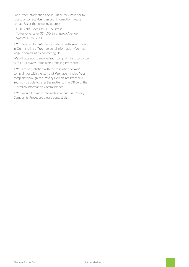For further information about Our privacy Policy or to access or correct Your personal information, please contact Us at the following address:

HDI Global Specialty SE - Australia Tower One, Level 33, 100 Barangaroo Avenue, Sydney, NSW, 2000

If You believe that We have interfered with Your privacy in Our handling of Your personal information You may lodge a complaint by contacting Us.

We will attempt to resolve Your complaint in accordance with Our Privacy Complaints Handling Procedure.

If You are not satisfied with the resolution of Your complaint or with the way that We have handled Your complaint through the Privacy Complaints Procedure, You may be able to refer the matter to the Office of the Australian Information Commissioner.

It You would like more information about Our Privacy Complaints Procedure please contact Us.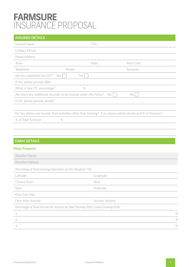## **FARMSURE** INSURANCE PROPOSAL

#### **INSURED DETAILS**

| T/As                                                               |           |                                                                                                                     |
|--------------------------------------------------------------------|-----------|---------------------------------------------------------------------------------------------------------------------|
|                                                                    |           |                                                                                                                     |
|                                                                    |           |                                                                                                                     |
| State                                                              | Post Code |                                                                                                                     |
| Mobile                                                             | Facsimile |                                                                                                                     |
| No                                                                 |           |                                                                                                                     |
|                                                                    |           |                                                                                                                     |
| $\%$                                                               |           |                                                                                                                     |
| Are there any additional Insureds to be insured under this Policy? | No        |                                                                                                                     |
|                                                                    |           |                                                                                                                     |
|                                                                    |           |                                                                                                                     |
|                                                                    |           |                                                                                                                     |
|                                                                    |           |                                                                                                                     |
|                                                                    |           |                                                                                                                     |
|                                                                    |           | Yes<br>Do You derive any income from activities other than farming? If so, please advise details and % of Turnover? |

#### **FARM DETAILS**

#### **Main Property**

| Situation Name                                                                     |                 |
|------------------------------------------------------------------------------------|-----------------|
| Situation Address                                                                  |                 |
| Percentage of Total Farming Operations at this Situation ? (%)                     |                 |
| Latitude                                                                           | Longitude       |
| Closest Town                                                                       | Shire           |
| State                                                                              | Postcode        |
| Farm Size (Ha)                                                                     |                 |
| Farm Main Activity                                                                 | Second Activity |
| Percentage of Total Income Per Activity (ie, Beef Farming 50%, Cereal Growing 50%) |                 |
| 1.                                                                                 | %               |
| 2.                                                                                 | %               |
| 3.                                                                                 | %               |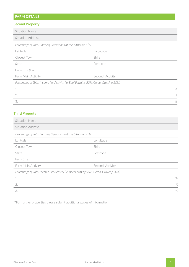### **FARM DETAILS**

#### **Second Property**

| Second Property                                                |                                                                                    |      |
|----------------------------------------------------------------|------------------------------------------------------------------------------------|------|
| <b>Situation Name</b>                                          |                                                                                    |      |
| <b>Situation Address</b>                                       |                                                                                    |      |
| Percentage of Total Farming Operations at this Situation ? (%) |                                                                                    |      |
| Latitude                                                       | Longitude                                                                          |      |
| Closest Town                                                   | <b>Shire</b>                                                                       |      |
| State                                                          | Postcode                                                                           |      |
| Farm Size (Ha)                                                 |                                                                                    |      |
| Farm Main Activity                                             | Second Activity                                                                    |      |
|                                                                | Percentage of Total Income Per Activity (ie, Beef Farming 50%, Cereal Growing 50%) |      |
| 1.                                                             |                                                                                    | $\%$ |
| 2.                                                             |                                                                                    | $\%$ |
| 3.                                                             |                                                                                    | $\%$ |

#### **Third Property**

| Situation Name                                                                     |                 |
|------------------------------------------------------------------------------------|-----------------|
| Situation Address                                                                  |                 |
| Percentage of Total Farming Operations at this Situation ? (%)                     |                 |
| Latitude                                                                           | Longitude       |
| Closest Town                                                                       | Shire           |
| State                                                                              | Postcode        |
| Farm Size                                                                          |                 |
| Farm Main Activity                                                                 | Second Activity |
| Percentage of Total Income Per Activity (ie, Beef Farming 50%, Cereal Growing 50%) |                 |
| 1.                                                                                 | %               |
| 2.                                                                                 | %               |
| 3.                                                                                 | $\frac{0}{0}$   |

\*\*For further properties please submit additional pages of information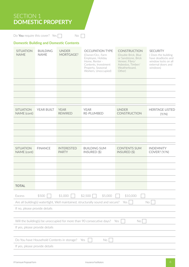## SECTION 1 **DOMESTIC PROPERTY**

Do You require this cover? Yes  $\Box$  No  $\Box$ 

#### **Domestic Building and Domestic Contents**

| <b>SITUATION</b><br><b>NAME</b>                      | <b>BUILDING</b><br><b>NAME</b>                                                  | <b>UNDER</b><br>MORTGAGE?         | <b>OCCUPATION TYPE</b><br>(Owner/Occ, Farm<br>Employee, Holiday<br>Home, Renter -<br>Contents, Investment<br>Property, Seasonal<br>Workers, Unoccupied) | <b>CONSTRUCTION</b><br>(Double Brick, Blue<br>or Sandstone, Brick<br>Veneer, Fibro/<br>Asbestos, Timber/<br>Weatherboard,<br>Other) | <b>SECURITY</b><br>(Does the building<br>have deadlocks and<br>window locks on all<br>external doors and<br>windows) |  |
|------------------------------------------------------|---------------------------------------------------------------------------------|-----------------------------------|---------------------------------------------------------------------------------------------------------------------------------------------------------|-------------------------------------------------------------------------------------------------------------------------------------|----------------------------------------------------------------------------------------------------------------------|--|
|                                                      |                                                                                 |                                   |                                                                                                                                                         |                                                                                                                                     |                                                                                                                      |  |
|                                                      |                                                                                 |                                   |                                                                                                                                                         |                                                                                                                                     |                                                                                                                      |  |
|                                                      |                                                                                 |                                   |                                                                                                                                                         |                                                                                                                                     |                                                                                                                      |  |
|                                                      |                                                                                 |                                   |                                                                                                                                                         |                                                                                                                                     |                                                                                                                      |  |
| <b>SITUATION</b><br>NAME (cont)                      | YEAR BUILT                                                                      | <b>YEAR</b><br><b>REWIRED</b>     | <b>YEAR</b><br>RE-PLUMBED                                                                                                                               | <b>UNDER</b><br><b>CONSTRUCTION</b>                                                                                                 | <b>HERITAGE LISTED</b><br>(Y/N)                                                                                      |  |
|                                                      |                                                                                 |                                   |                                                                                                                                                         |                                                                                                                                     |                                                                                                                      |  |
|                                                      |                                                                                 |                                   |                                                                                                                                                         |                                                                                                                                     |                                                                                                                      |  |
|                                                      |                                                                                 |                                   |                                                                                                                                                         |                                                                                                                                     |                                                                                                                      |  |
| <b>SITUATION</b><br>NAME (cont)                      | <b>FINANCE</b>                                                                  | <b>INTERESTED</b><br><b>PARTY</b> | <b>BUILDING SUM</b><br>INSURED (\$)                                                                                                                     | <b>CONTENTS SUM</b><br>INSURED (\$)                                                                                                 | <b>INDEMNITY</b><br>COVER? (Y/N)                                                                                     |  |
|                                                      |                                                                                 |                                   |                                                                                                                                                         |                                                                                                                                     |                                                                                                                      |  |
|                                                      |                                                                                 |                                   |                                                                                                                                                         |                                                                                                                                     |                                                                                                                      |  |
|                                                      |                                                                                 |                                   |                                                                                                                                                         |                                                                                                                                     |                                                                                                                      |  |
| <b>TOTAL</b>                                         |                                                                                 |                                   |                                                                                                                                                         |                                                                                                                                     |                                                                                                                      |  |
|                                                      |                                                                                 |                                   |                                                                                                                                                         |                                                                                                                                     |                                                                                                                      |  |
| Excess                                               | \$500                                                                           | \$1,000                           | \$2,500<br>\$5,000<br>Are all building(s) watertight, Well maintained, structurally sound and secure?                                                   | \$10,000<br>Yes                                                                                                                     | No                                                                                                                   |  |
| If no, please provide details                        |                                                                                 |                                   |                                                                                                                                                         |                                                                                                                                     |                                                                                                                      |  |
|                                                      |                                                                                 |                                   |                                                                                                                                                         |                                                                                                                                     |                                                                                                                      |  |
|                                                      | Will the building(s) be unoccupied for more than 90 consecutive days? Yes<br>No |                                   |                                                                                                                                                         |                                                                                                                                     |                                                                                                                      |  |
| If yes, please provide details                       |                                                                                 |                                   |                                                                                                                                                         |                                                                                                                                     |                                                                                                                      |  |
|                                                      |                                                                                 |                                   |                                                                                                                                                         |                                                                                                                                     |                                                                                                                      |  |
| Do You have Household Contents in storage? Yes<br>No |                                                                                 |                                   |                                                                                                                                                         |                                                                                                                                     |                                                                                                                      |  |
| If yes, please provide details                       |                                                                                 |                                   |                                                                                                                                                         |                                                                                                                                     |                                                                                                                      |  |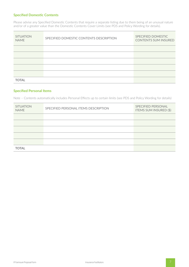#### **Specified Domestic Contents**

Please advise any Specified Domestic Contents that require a separate listing due to them being of an unusual nature and/or of a greater value than the Domestic Contents Cover Limits (see PDS and Policy Wording for details).

| <b>SITUATION</b><br><b>NAME</b> | SPECIFIED DOMESTIC CONTENTS DESCRIPTION | SPECIFIED DOMESTIC<br><b>CONTENTS SUM INSURED</b> |
|---------------------------------|-----------------------------------------|---------------------------------------------------|
|                                 |                                         |                                                   |
|                                 |                                         |                                                   |
|                                 |                                         |                                                   |
|                                 |                                         |                                                   |
|                                 |                                         |                                                   |
| <b>TOTAL</b>                    |                                         |                                                   |

#### **Specified Personal Items**

Note – Contents automatically includes Personal Effects up to certain limits (see PDS and Policy Wording for details)

| <b>SITUATION</b><br><b>NAME</b> | SPECIFIED PERSONAL ITEMS DESCRIPTION | SPECIFIED PERSONAL<br><b>ITEMS SUM INSURED (\$)</b> |
|---------------------------------|--------------------------------------|-----------------------------------------------------|
|                                 |                                      |                                                     |
|                                 |                                      |                                                     |
|                                 |                                      |                                                     |
|                                 |                                      |                                                     |
|                                 |                                      |                                                     |
| <b>TOTAL</b>                    |                                      |                                                     |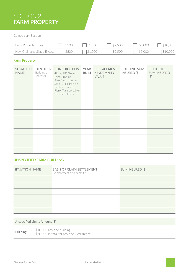## SECTION 2 **FARM PROPERTY**

Compulsory Section

| <b>Farm Property Excess</b>                              |  | $\frac{1}{500}$ \$500 \$1,000 | \$2,500                | $\sqrt{5,000}$ | $\sqrt{\ }}$ \$10,000 |
|----------------------------------------------------------|--|-------------------------------|------------------------|----------------|-----------------------|
| Hay, Grain and Silage Excess $\Box$ \$500 $\Box$ \$1,000 |  |                               | $\sqrt{\frac{2}{500}}$ | 5,000          | $\sqrt{\ }}$ \$10,000 |

#### **Farm Property**

| <b>SITUATION</b><br><b>NAME</b> | <b>IDENTIFIER</b><br>(Building or<br>Contents) | <b>CONSTRUCTION</b><br>(Brick, EPS/Foam<br>Panel, Iron on<br>Steel/Iron, Iron on<br>Steel/Brick, Iron on<br>Timber, Timber/<br>Fibro, Transportable/<br>Shelters, Other) | YEAR<br><b>BUILT</b> | REPLACEMENT<br>/ INDEMNITY<br><b>VALUE</b> | <b>BUILDING SUM</b><br>$INSURED$ (\$) | <b>CONTENTS</b><br><b>SUM INSURED</b><br>(5) |
|---------------------------------|------------------------------------------------|--------------------------------------------------------------------------------------------------------------------------------------------------------------------------|----------------------|--------------------------------------------|---------------------------------------|----------------------------------------------|
|                                 |                                                |                                                                                                                                                                          |                      |                                            |                                       |                                              |
|                                 |                                                |                                                                                                                                                                          |                      |                                            |                                       |                                              |
|                                 |                                                |                                                                                                                                                                          |                      |                                            |                                       |                                              |
|                                 |                                                |                                                                                                                                                                          |                      |                                            |                                       |                                              |
|                                 |                                                |                                                                                                                                                                          |                      |                                            |                                       |                                              |
|                                 |                                                |                                                                                                                                                                          |                      |                                            |                                       |                                              |
|                                 |                                                |                                                                                                                                                                          |                      |                                            |                                       |                                              |
|                                 |                                                |                                                                                                                                                                          |                      |                                            |                                       |                                              |
|                                 |                                                |                                                                                                                                                                          |                      |                                            |                                       |                                              |

#### **UNSPECIFIED FARM BUILDING**

| <b>SITUATION NAME</b> | <b>BASIS OF CLAIM SETTLEMENT</b><br>(Replacement or Indemnity) | SUM INSURED (\$) |
|-----------------------|----------------------------------------------------------------|------------------|
|                       |                                                                |                  |
|                       |                                                                |                  |
|                       |                                                                |                  |
|                       |                                                                |                  |
|                       |                                                                |                  |
|                       |                                                                |                  |
|                       |                                                                |                  |

Unspecified Limits Amount (\$)

 $$10,000$  any one building<br> $$50,000$  in tatal for any any \$50,000 in total for any one Occurrence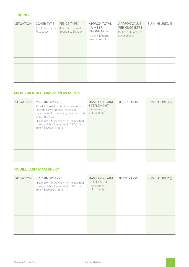#### **FENCING**

| <b>SITUATION</b> | <b>COVER TYPE</b><br>(Per Kilometre or<br>First Loss) | <b>FENCE TYPE</b><br>(Internal, External,<br>Boundary, Shared) | <b>APPROX TOTAL</b><br><b>NUMBER</b><br><b>KILOMETRES</b><br>(If Per Kilometre<br>cover chosen) | <b>APPROX VALUE</b><br><b>PER KILOMETRE</b><br>(\$) (If Per Kilometre<br>cover chosen) | SUM INSURED (\$) |
|------------------|-------------------------------------------------------|----------------------------------------------------------------|-------------------------------------------------------------------------------------------------|----------------------------------------------------------------------------------------|------------------|
|                  |                                                       |                                                                |                                                                                                 |                                                                                        |                  |
|                  |                                                       |                                                                |                                                                                                 |                                                                                        |                  |
|                  |                                                       |                                                                |                                                                                                 |                                                                                        |                  |
|                  |                                                       |                                                                |                                                                                                 |                                                                                        |                  |
|                  |                                                       |                                                                |                                                                                                 |                                                                                        |                  |
|                  |                                                       |                                                                |                                                                                                 |                                                                                        |                  |

#### **ABOVEGROUND FARM IMPROVEMENTS**

| <b>SITUATION</b> | <b>MACHINERY TYPE</b><br>(Fixed & Free-standing Improvements,<br>Powepoles/Windmills/Processing<br>Equiptment, Freestanding Solar Panels &<br>Wind Turbines)<br>Please use 'Unspecified' for unspecified<br>cover, which is limited to \$10,000 per<br>item / \$50,000 in total | <b>BASIS OF CLAIM</b><br><b>SETTLEMENT</b><br>(Replacement<br>or Indemnity) | <b>DESCRIPTION</b> | SUM INSURED (\$) |
|------------------|---------------------------------------------------------------------------------------------------------------------------------------------------------------------------------------------------------------------------------------------------------------------------------|-----------------------------------------------------------------------------|--------------------|------------------|
|                  |                                                                                                                                                                                                                                                                                 |                                                                             |                    |                  |
|                  |                                                                                                                                                                                                                                                                                 |                                                                             |                    |                  |
|                  |                                                                                                                                                                                                                                                                                 |                                                                             |                    |                  |
|                  |                                                                                                                                                                                                                                                                                 |                                                                             |                    |                  |
|                  |                                                                                                                                                                                                                                                                                 |                                                                             |                    |                  |

#### **MOBILE FARM MACHINERY**

| <b>SITUATION</b> | <b>MACHINERY TYPE</b><br>Please use 'Unspecified' for unspecified<br>cover, which is limited to \$10,000 per<br>item / \$50,000 in total | <b>BASIS OF CLAIM</b><br><b>SETTLEMENT</b><br>(Replacement<br>or Indemnity) | <b>DESCRIPTION</b> | SUM INSURED (\$) |
|------------------|------------------------------------------------------------------------------------------------------------------------------------------|-----------------------------------------------------------------------------|--------------------|------------------|
|                  |                                                                                                                                          |                                                                             |                    |                  |
|                  |                                                                                                                                          |                                                                             |                    |                  |
|                  |                                                                                                                                          |                                                                             |                    |                  |
|                  |                                                                                                                                          |                                                                             |                    |                  |
|                  |                                                                                                                                          |                                                                             |                    |                  |
|                  |                                                                                                                                          |                                                                             |                    |                  |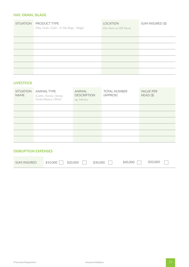#### **HAY, GRAIN, SILAGE**

| <b>SITUATION</b> | <b>PRODUCT TYPE</b><br>(Hay, Grain, Grain - In Silo Bags, Silage) | <b>LOCATION</b><br>(On-Farm or Off-Farm) | SUM INSURED (\$) |
|------------------|-------------------------------------------------------------------|------------------------------------------|------------------|
|                  |                                                                   |                                          |                  |
|                  |                                                                   |                                          |                  |
|                  |                                                                   |                                          |                  |
|                  |                                                                   |                                          |                  |
|                  |                                                                   |                                          |                  |
|                  |                                                                   |                                          |                  |

#### **LIVESTOCK**

| <b>SITUATION</b><br><b>NAME</b> | <b>ANIMAL TYPE</b><br>(Cattle, Horses, Sheep,<br>Goats/Alpaca, Other) | <b>ANIMAL</b><br><b>DESCRIPTION</b><br>eg. Merino | <b>TOTAL NUMBER</b><br>(APPROX) | <b>VALUE PER</b><br>HEAD(S) |
|---------------------------------|-----------------------------------------------------------------------|---------------------------------------------------|---------------------------------|-----------------------------|
|                                 |                                                                       |                                                   |                                 |                             |
|                                 |                                                                       |                                                   |                                 |                             |
|                                 |                                                                       |                                                   |                                 |                             |
|                                 |                                                                       |                                                   |                                 |                             |
|                                 |                                                                       |                                                   |                                 |                             |
|                                 |                                                                       |                                                   |                                 |                             |

#### **DISRUPTION EXPENSES**

| \$10,000<br><b>SUM INSURED</b> | \$20,000 | \$30,000 | \$40,000 | \$50,000 |
|--------------------------------|----------|----------|----------|----------|
|--------------------------------|----------|----------|----------|----------|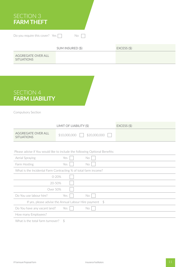## SECTION 3 **FARM THEFT**

Do you require this cover? Yes  $\Box$  No  $\Box$ 

|                                         | SUM INSURED (\$) | $EXCESS($ \$) |
|-----------------------------------------|------------------|---------------|
| AGGREGATE OVER ALL<br><b>SITUATIONS</b> |                  |               |

## SECTION 4 **FARM LIABILITY**

Compulsory Section

|                                                                             | LIMIT OF LIABILITY (\$) |              | $EXCESS($ \$) |  |
|-----------------------------------------------------------------------------|-------------------------|--------------|---------------|--|
| <b>AGGREGATE OVER ALL</b><br><b>SITUATIONS</b>                              | \$10,000,000            | \$20,000,000 |               |  |
|                                                                             |                         |              |               |  |
| Please advise if You would like to include the following Optional Benefits: |                         |              |               |  |
| Aerial Spraying                                                             | Yes                     | No           |               |  |
| Farm Hosting                                                                | Yes                     | No           |               |  |
| What is the Incidental Farm Contracting % of total farm income?             |                         |              |               |  |
|                                                                             | $0 - 20%$               |              |               |  |
|                                                                             | 20-50%                  |              |               |  |
| Over 50%                                                                    |                         |              |               |  |
| Do You use labour hire?                                                     | Yes                     | No           |               |  |
| If yes, please advise the Annual Labour Hire payment $$$                    |                         |              |               |  |
| Do You have any vacant land?                                                | Yes                     | No           |               |  |
| How many Employees?                                                         |                         |              |               |  |
| $\mathcal{L}$                                                               |                         |              |               |  |

What is the total farm turnover?  $$$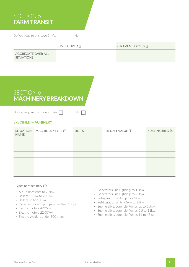| <b>SECTION 5</b><br><b>FARM TRANSIT</b> |                  |  |                       |  |  |
|-----------------------------------------|------------------|--|-----------------------|--|--|
| Do You require this cover? Yes<br>No    |                  |  |                       |  |  |
|                                         | SUM INSURED (\$) |  | PER EVENT EXCESS (\$) |  |  |
| AGGREGATE OVER ALL<br><b>SITUATIONS</b> |                  |  |                       |  |  |

## SECTION 6 **MACHINERY BREAKDOWN**

Do You require this cover? Yes  $\Box$  No  $\Box$ 

#### **SPECIFIED MACHINERY**

| <b>NAME</b> | SITUATION MACHINERY TYPE (*) | <b>UNITS</b> | PER UNIT VALUE (\$) | SUM INSURED (\$) |
|-------------|------------------------------|--------------|---------------------|------------------|
|             |                              |              |                     |                  |
|             |                              |              |                     |                  |
|             |                              |              |                     |                  |
|             |                              |              |                     |                  |
|             |                              |              |                     |                  |
|             |                              |              |                     |                  |

#### Types of Machinery (\*):

- Air Compressors to 7.5kw
- Boilers 100kw to 200kw
- Boilers up to 100kw
- Diesel motor and pumps more than 10hpa
- Electric motors 4-22kw
- Electric motors 22-37kw
- Electric Welders under 300 amps
- Generators (inc Lighting) to 12kva
- Generators (inc Lighting) to 22kva
- Refrigeration units up to 7.5kw
- Refrigeration units 7.5kw to 15kw
- Submersible/borehole Pumps up to 5.5kw
- Submersible/borehole Pumps 5.5 to 11kw
- Submersible/borehole Pumps 11 to 45kw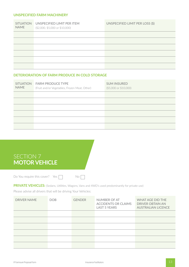#### **UNSPECIFIED FARM MACHINERY**

| <b>SITUATION</b><br><b>NAME</b> | UNSPECIFIED LIMIT PER ITEM<br>$($2,000, $5,000 \text{ or } $10,000)$ | UNSPECIFIED LIMIT PER LOSS (\$) |
|---------------------------------|----------------------------------------------------------------------|---------------------------------|
|                                 |                                                                      |                                 |
|                                 |                                                                      |                                 |
|                                 |                                                                      |                                 |
|                                 |                                                                      |                                 |
|                                 |                                                                      |                                 |
|                                 |                                                                      |                                 |

#### **DETERIORATION OF FARM PRODUCE IN COLD STORAGE**

| <b>SITUATION</b><br><b>NAME</b> | <b>FARM PRODUCE TYPE</b><br>(Fruit and/or Vegetables, Frozen Meat, Other) | <b>SUM INSURED</b><br>$($5,000 \text{ or } $10,000)$ |
|---------------------------------|---------------------------------------------------------------------------|------------------------------------------------------|
|                                 |                                                                           |                                                      |
|                                 |                                                                           |                                                      |
|                                 |                                                                           |                                                      |
|                                 |                                                                           |                                                      |
|                                 |                                                                           |                                                      |
|                                 |                                                                           |                                                      |



Do You require this cover? Yes  $\Box$  No  $\Box$ 

**PRIVATE VEHICLES:** (Sedans, Utilities, Wagons, Vans and 4WD's used predominantly for private use)

Please advise all drivers that will be driving Your Vehicles:

| <b>DRIVER NAME</b> | <b>DOB</b> | <b>GENDER</b> | NUMBER OF AT<br>ACCIDENTS OR CLAIMS<br><b>LAST 5 YEARS</b> | <b>WHAT AGE DID THE</b><br>DRIVER OBTAIN AN<br><b>AUSTRALIAN LICENCE</b> |
|--------------------|------------|---------------|------------------------------------------------------------|--------------------------------------------------------------------------|
|                    |            |               |                                                            |                                                                          |
|                    |            |               |                                                            |                                                                          |
|                    |            |               |                                                            |                                                                          |
|                    |            |               |                                                            |                                                                          |
|                    |            |               |                                                            |                                                                          |
|                    |            |               |                                                            |                                                                          |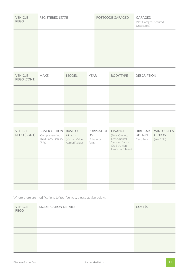| <b>VEHICLE</b><br><b>REGO</b> | <b>REGISTERED STATE</b> | POSTCODE GARAGED | <b>GARAGED</b><br>(Not Garaged, Secured,<br>Unsecured) |
|-------------------------------|-------------------------|------------------|--------------------------------------------------------|
|                               |                         |                  |                                                        |
|                               |                         |                  |                                                        |
|                               |                         |                  |                                                        |
|                               |                         |                  |                                                        |
|                               |                         |                  |                                                        |
|                               |                         |                  |                                                        |

| <b>VEHICLE</b><br>REGO (CONT) | <b>MAKE</b> | <b>MODEL</b> | <b>YEAR</b> | <b>BODY TYPE</b> | <b>DESCRIPTION</b> |
|-------------------------------|-------------|--------------|-------------|------------------|--------------------|
|                               |             |              |             |                  |                    |
|                               |             |              |             |                  |                    |
|                               |             |              |             |                  |                    |
|                               |             |              |             |                  |                    |
|                               |             |              |             |                  |                    |
|                               |             |              |             |                  |                    |

| <b>VEHICLE</b><br>REGO (CONT) | <b>COVER OPTION</b><br>(Comprehensive,<br>Third Party Liability<br>Only) | <b>BASIS OF</b><br><b>COVER</b><br>(Market Value,<br>Agreed Value) | PURPOSE OF<br><b>USE</b><br>(Private or<br>Farm) | <b>FINANCE</b><br>(Fully Owned,<br>Lease/Rental,<br>Secured Bank/<br>Credit Union.<br>Unsecured Loan) | <b>HIRE CAR</b><br><b>OPTION</b><br>(Yes / No) | <b>WINDSCREEN</b><br><b>OPTION</b><br>(Yes / No) |
|-------------------------------|--------------------------------------------------------------------------|--------------------------------------------------------------------|--------------------------------------------------|-------------------------------------------------------------------------------------------------------|------------------------------------------------|--------------------------------------------------|
|                               |                                                                          |                                                                    |                                                  |                                                                                                       |                                                |                                                  |
|                               |                                                                          |                                                                    |                                                  |                                                                                                       |                                                |                                                  |
|                               |                                                                          |                                                                    |                                                  |                                                                                                       |                                                |                                                  |
|                               |                                                                          |                                                                    |                                                  |                                                                                                       |                                                |                                                  |
|                               |                                                                          |                                                                    |                                                  |                                                                                                       |                                                |                                                  |
|                               |                                                                          |                                                                    |                                                  |                                                                                                       |                                                |                                                  |

Where there are modifications to Your Vehicle, please advise below:

| <b>VEHICLE</b><br><b>REGO</b> | MODIFICATION DETAILS | $COST(\$)$ |
|-------------------------------|----------------------|------------|
|                               |                      |            |
|                               |                      |            |
|                               |                      |            |
|                               |                      |            |
|                               |                      |            |
|                               |                      |            |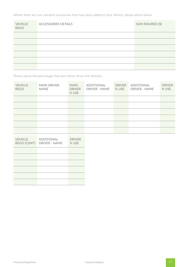Where there are non-standard accessories that have been added to Your Vehicle, please advise below:

| <b>VEHICLE</b><br><b>REGO</b> | <b>ACCESSORIES DETAILS</b> | SUM INSURED (\$) |
|-------------------------------|----------------------------|------------------|
|                               |                            |                  |
|                               |                            |                  |
|                               |                            |                  |
|                               |                            |                  |
|                               |                            |                  |
|                               |                            |                  |

Please advise the percentage that each driver drives the Vehicles:

| <b>VEHICLE</b><br><b>REGO</b> | <b>MAIN DRIVER</b><br><b>NAME</b> | <b>MAIN</b><br><b>DRIVER</b><br>% USE | ADDITIONAL<br>DRIVER - NAME | <b>DRIVER</b><br>% USE | ADDITIONAL<br>DRIVER - NAME | <b>DRIVER</b><br>% USE |
|-------------------------------|-----------------------------------|---------------------------------------|-----------------------------|------------------------|-----------------------------|------------------------|
|                               |                                   |                                       |                             |                        |                             |                        |
|                               |                                   |                                       |                             |                        |                             |                        |
|                               |                                   |                                       |                             |                        |                             |                        |
|                               |                                   |                                       |                             |                        |                             |                        |
|                               |                                   |                                       |                             |                        |                             |                        |
|                               |                                   |                                       |                             |                        |                             |                        |
| <b>VEHICLE</b><br>REGO (CONT) | ADDITIONAL<br>DRIVER - NAME       | <b>DRIVER</b><br>% USE                |                             |                        |                             |                        |
|                               |                                   |                                       |                             |                        |                             |                        |
|                               |                                   |                                       |                             |                        |                             |                        |
|                               |                                   |                                       |                             |                        |                             |                        |
|                               |                                   |                                       |                             |                        |                             |                        |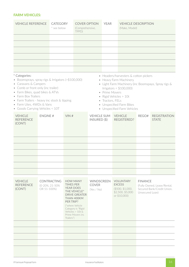#### **FARM VEHICLES:**

| <b>VEHICLE REFERENCE</b>                                                                                                                                                                                                                                                                                  |                | <b>CATEGORY</b><br>* see below       |                                                                 | <b>COVER OPTION</b><br>(Comprehensive,<br>TPPD)                                                                                                          |                                                                                                                                                                                                                                                                              | <b>YEAR</b> |  | <b>VEHICLE DESCRIPTION</b><br>(Make, Model)                                               |                                   |                                                           |
|-----------------------------------------------------------------------------------------------------------------------------------------------------------------------------------------------------------------------------------------------------------------------------------------------------------|----------------|--------------------------------------|-----------------------------------------------------------------|----------------------------------------------------------------------------------------------------------------------------------------------------------|------------------------------------------------------------------------------------------------------------------------------------------------------------------------------------------------------------------------------------------------------------------------------|-------------|--|-------------------------------------------------------------------------------------------|-----------------------------------|-----------------------------------------------------------|
|                                                                                                                                                                                                                                                                                                           |                |                                      |                                                                 |                                                                                                                                                          |                                                                                                                                                                                                                                                                              |             |  |                                                                                           |                                   |                                                           |
|                                                                                                                                                                                                                                                                                                           |                |                                      |                                                                 |                                                                                                                                                          |                                                                                                                                                                                                                                                                              |             |  |                                                                                           |                                   |                                                           |
|                                                                                                                                                                                                                                                                                                           |                |                                      |                                                                 |                                                                                                                                                          |                                                                                                                                                                                                                                                                              |             |  |                                                                                           |                                   |                                                           |
|                                                                                                                                                                                                                                                                                                           |                |                                      |                                                                 |                                                                                                                                                          |                                                                                                                                                                                                                                                                              |             |  |                                                                                           |                                   |                                                           |
|                                                                                                                                                                                                                                                                                                           |                |                                      |                                                                 |                                                                                                                                                          |                                                                                                                                                                                                                                                                              |             |  |                                                                                           |                                   |                                                           |
|                                                                                                                                                                                                                                                                                                           |                |                                      |                                                                 |                                                                                                                                                          |                                                                                                                                                                                                                                                                              |             |  |                                                                                           |                                   |                                                           |
| * Categories:<br>• Boomsprays, spray rigs & Irrigators (>\$100,000)<br>• Caravans & Campers<br>• Comb or front only (inc trailer)<br>• Farm Bikes, quad bikes & ATVs<br>• Farm Box Trailers<br>• Farm Trailers - heavy inc stock & tipping<br>• Farm Utes, 4WDs & Vans<br>• Goods Carrying Vehicles < 10T |                |                                      |                                                                 |                                                                                                                                                          | • Headers/harvesters & cotton pickers<br>• Heavy Farm Machinery<br>• Light Farm Machinery (inc Boomspays, Spray rigs &<br>Irrigators < $$100,000$<br>• Prime Movers<br>• Rigid Vehicles > 10t<br>• Tractors, FELs<br>• Unspecified Farm Bikes<br>• Unspecified Farm Vehicles |             |  |                                                                                           |                                   |                                                           |
| <b>VEHICLE</b><br><b>REFERENCE</b><br>(CONT)                                                                                                                                                                                                                                                              | <b>ENGINE#</b> |                                      | VIN#                                                            |                                                                                                                                                          | <b>VEHICLE SUM</b><br>$INSURED$ (\$)                                                                                                                                                                                                                                         |             |  | <b>VEHICLE</b><br><b>REGISTERED?</b>                                                      | REGO#                             | <b>REGISTRATION</b><br><b>STATE</b>                       |
|                                                                                                                                                                                                                                                                                                           |                |                                      |                                                                 |                                                                                                                                                          |                                                                                                                                                                                                                                                                              |             |  |                                                                                           |                                   |                                                           |
|                                                                                                                                                                                                                                                                                                           |                |                                      |                                                                 |                                                                                                                                                          |                                                                                                                                                                                                                                                                              |             |  |                                                                                           |                                   |                                                           |
|                                                                                                                                                                                                                                                                                                           |                |                                      |                                                                 |                                                                                                                                                          |                                                                                                                                                                                                                                                                              |             |  |                                                                                           |                                   |                                                           |
|                                                                                                                                                                                                                                                                                                           |                |                                      |                                                                 |                                                                                                                                                          |                                                                                                                                                                                                                                                                              |             |  |                                                                                           |                                   |                                                           |
|                                                                                                                                                                                                                                                                                                           |                |                                      |                                                                 |                                                                                                                                                          |                                                                                                                                                                                                                                                                              |             |  |                                                                                           |                                   |                                                           |
|                                                                                                                                                                                                                                                                                                           |                |                                      |                                                                 |                                                                                                                                                          |                                                                                                                                                                                                                                                                              |             |  |                                                                                           |                                   |                                                           |
| <b>VEHICLE</b><br><b>REFERENCE</b><br>(CONT)                                                                                                                                                                                                                                                              | OR 51-100%)    | <b>CONTRACTING</b><br>(0-20%, 21-50% | <b>TIMES PER</b><br><b>YEAR DOES</b><br>PER TRIP?<br>Trailers") | <b>HOW MANY</b><br>THE VEHICLE*<br><b>DRIVE GREATER</b><br>THAN 400KM<br>(*where Vehicle<br>Category is "Rigid<br>Vehicles $> 10t$ &<br>Prime Movers inc | <b>WINDSCREEN</b><br><b>COVER</b><br>(Yes / No)                                                                                                                                                                                                                              |             |  | <b>VOLUNTARY</b><br><b>EXCESS</b><br>(\$500, \$1,000,<br>\$2,500, \$5,000<br>or \$10,000) | <b>FINANCE</b><br>Unsecured Loan) | (Fully Owned, Lease/Rental,<br>Secured Bank/Credit Union, |
|                                                                                                                                                                                                                                                                                                           |                |                                      |                                                                 |                                                                                                                                                          |                                                                                                                                                                                                                                                                              |             |  |                                                                                           |                                   |                                                           |
|                                                                                                                                                                                                                                                                                                           |                |                                      |                                                                 |                                                                                                                                                          |                                                                                                                                                                                                                                                                              |             |  |                                                                                           |                                   |                                                           |
|                                                                                                                                                                                                                                                                                                           |                |                                      |                                                                 |                                                                                                                                                          |                                                                                                                                                                                                                                                                              |             |  |                                                                                           |                                   |                                                           |
|                                                                                                                                                                                                                                                                                                           |                |                                      |                                                                 |                                                                                                                                                          |                                                                                                                                                                                                                                                                              |             |  |                                                                                           |                                   |                                                           |
|                                                                                                                                                                                                                                                                                                           |                |                                      |                                                                 |                                                                                                                                                          |                                                                                                                                                                                                                                                                              |             |  |                                                                                           |                                   |                                                           |
|                                                                                                                                                                                                                                                                                                           |                |                                      |                                                                 |                                                                                                                                                          |                                                                                                                                                                                                                                                                              |             |  |                                                                                           |                                   |                                                           |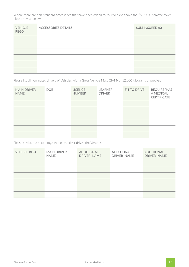Where there are non-standard accessories that have been added to Your Vehicle above the \$5,000 automatic cover, please advise below:

| <b>VEHICLE</b><br><b>REGO</b> | <b>ACCESSORIES DETAILS</b> | SUM INSURED (\$) |
|-------------------------------|----------------------------|------------------|
|                               |                            |                  |
|                               |                            |                  |
|                               |                            |                  |
|                               |                            |                  |
|                               |                            |                  |
|                               |                            |                  |

Please list all nominated drivers of Vehicles with a Gross Vehicle Mass (GVM) of 12,000 kilograms or greater:

| <b>MAIN DRIVER</b><br><b>NAME</b> | <b>DOB</b> | <b>LICENCE</b><br><b>NUMBER</b> | <b>LEARNER</b><br><b>DRIVER</b> | FIT TO DRIVE | REQUIRE/HAS<br>A MEDICAL<br><b>CERTIFICATE</b> |
|-----------------------------------|------------|---------------------------------|---------------------------------|--------------|------------------------------------------------|
|                                   |            |                                 |                                 |              |                                                |
|                                   |            |                                 |                                 |              |                                                |
|                                   |            |                                 |                                 |              |                                                |
|                                   |            |                                 |                                 |              |                                                |
|                                   |            |                                 |                                 |              |                                                |
|                                   |            |                                 |                                 |              |                                                |

Please advise the percentage that each driver drives the Vehicles:

| <b>VEHICLE REGO</b> | <b>MAIN DRIVER</b><br><b>NAME</b> | ADDITIONAL<br>DRIVER NAME | ADDITIONAL<br>DRIVER NAME | ADDITIONAL<br>DRIVER NAME |
|---------------------|-----------------------------------|---------------------------|---------------------------|---------------------------|
|                     |                                   |                           |                           |                           |
|                     |                                   |                           |                           |                           |
|                     |                                   |                           |                           |                           |
|                     |                                   |                           |                           |                           |
|                     |                                   |                           |                           |                           |
|                     |                                   |                           |                           |                           |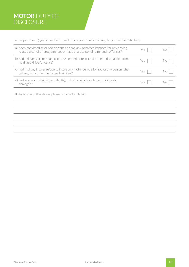## **MOTOR** DUTY OF DISCLOSURE

In the past five (5) years has the Insured or any person who will regularly drive the Vehicle(s):

| a) been convicted of or had any fines or had any penalties imposed for any driving<br>related alcohol or drug offences or have charges pending for such offences? | Yes |  |
|-------------------------------------------------------------------------------------------------------------------------------------------------------------------|-----|--|
| b) had a driver's licence cancelled, suspended or restricted or been disqualified from<br>holding a driver's licence?                                             | Yes |  |
| c) had had any insurer refuse to insure any motor vehicle for You or any person who<br>will regularly drive the insured vehicles?                                 | Yes |  |
| d) had any motor claim(s), accident(s), or had a vehicle stolen or maliciously<br>damaged?                                                                        | Yes |  |

If Yes to any of the above, please provide full details